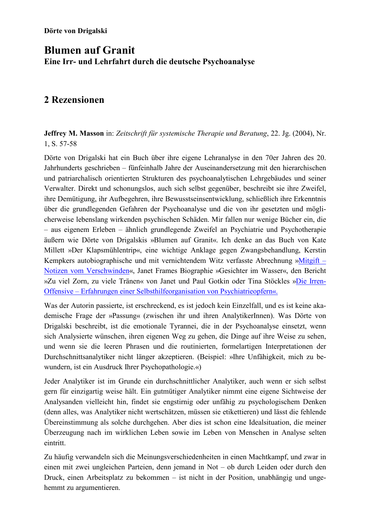# **Blumen auf Granit** Eine Irr- und Lehrfahrt durch die deutsche Psychoanalyse

## 2 Rezensionen

**Jeffrey M. Masson** in: Zeitschrift für systemische Therapie und Beratung, 22. Jg. (2004), Nr. 1, S. 57-58

Dörte von Drigalski hat ein Buch über ihre eigene Lehranalyse in den 70er Jahren des 20. Jahrhunderts geschrieben – fünfeinhalb Jahre der Auseinandersetzung mit den hierarchischen und patriarchalisch orientierten Strukturen des psychoanalytischen Lehrgebäudes und seiner Verwalter. Direkt und schonungslos, auch sich selbst gegenüber, beschreibt sie ihre Zweifel, ihre Demütigung, ihr Aufbegehren, ihre Bewusstseinsentwicklung, schließlich ihre Erkenntnis über die grundlegenden Gefahren der Psychoanalyse und die von ihr gesetzten und möglicherweise lebenslang wirkenden psychischen Schäden. Mir fallen nur wenige Bücher ein, die - aus eigenem Erleben - ähnlich grundlegende Zweifel an Psychiatrie und Psychotherapie äußern wie Dörte von Drigalskis »Blumen auf Granit«. Ich denke an das Buch von Kate Millett »Der Klapsmühlentrip«, eine wichtige Anklage gegen Zwangsbehandlung, Kerstin Kempkers autobiographische und mit vernichtendem Witz verfasste Abrechnung »Mitgift – Notizen vom Verschwinden«, Janet Frames Biographie »Gesichter im Wasser«, den Bericht »Zu viel Zorn, zu viele Tränen« von Janet und Paul Gotkin oder Tina Stöckles »Die Irren-Offensive – Erfahrungen einer Selbsthilfeorganisation von Psychiatrieopfern«.

Was der Autorin passierte, ist erschreckend, es ist jedoch kein Einzelfall, und es ist keine akademische Frage der »Passung« (zwischen ihr und ihren AnalytikerInnen). Was Dörte von Drigalski beschreibt, ist die emotionale Tyrannei, die in der Psychoanalyse einsetzt, wenn sich Analysierte wünschen, ihren eigenen Weg zu gehen, die Dinge auf ihre Weise zu sehen, und wenn sie die leeren Phrasen und die routinierten, formelartigen Interpretationen der Durchschnittsanalytiker nicht länger akzeptieren. (Beispiel: »Ihre Unfähigkeit, mich zu bewundern, ist ein Ausdruck Ihrer Psychopathologie.«)

Jeder Analytiker ist im Grunde ein durchschnittlicher Analytiker, auch wenn er sich selbst gern für einzigartig weise hält. Ein gutmütiger Analytiker nimmt eine eigene Sichtweise der Analysanden vielleicht hin, findet sie engstirnig oder unfähig zu psychologischem Denken (denn alles, was Analytiker nicht wertschätzen, müssen sie etikettieren) und lässt die fehlende Übereinstimmung als solche durchgehen. Aber dies ist schon eine Idealsituation, die meiner Überzeugung nach im wirklichen Leben sowie im Leben von Menschen in Analyse selten eintritt.

Zu häufig verwandeln sich die Meinungsverschiedenheiten in einen Machtkampf, und zwar in einen mit zwei ungleichen Parteien, denn jemand in Not – ob durch Leiden oder durch den Druck, einen Arbeitsplatz zu bekommen – ist nicht in der Position, unabhängig und ungehemmt zu argumentieren.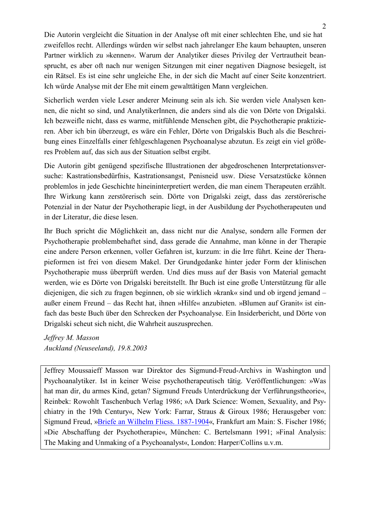Die Autorin vergleicht die Situation in der Analyse oft mit einer schlechten Ehe, und sie hat zweifellos recht. Allerdings würden wir selbst nach jahrelanger Ehe kaum behaupten, unseren Partner wirklich zu »kennen«. Warum der Analytiker dieses Privileg der Vertrautheit beansprucht, es aber oft nach nur wenigen Sitzungen mit einer negativen Diagnose besiegelt, ist ein Rätsel. Es ist eine sehr ungleiche Ehe, in der sich die Macht auf einer Seite konzentriert. Ich würde Analyse mit der Ehe mit einem gewalttätigen Mann vergleichen.

Sicherlich werden viele Leser anderer Meinung sein als ich. Sie werden viele Analysen kennen, die nicht so sind, und AnalytikerInnen, die anders sind als die von Dörte von Drigalski. Ich bezweifle nicht, dass es warme, mitfühlende Menschen gibt, die Psychotherapie praktizieren. Aber ich bin überzeugt, es wäre ein Fehler, Dörte von Drigalskis Buch als die Beschreibung eines Einzelfalls einer fehlgeschlagenen Psychoanalyse abzutun. Es zeigt ein viel größeres Problem auf, das sich aus der Situation selbst ergibt.

Die Autorin gibt genügend spezifische Illustrationen der abgedroschenen Interpretationsversuche: Kastrationsbedürfnis, Kastrationsangst, Penisneid usw. Diese Versatzstücke können problem los in jede Geschichte hineininterpretiert werden, die man einem Therapeuten erzählt. Ihre Wirkung kann zerstörerisch sein. Dörte von Drigalski zeigt, dass das zerstörerische Potenzial in der Natur der Psychotherapie liegt, in der Ausbildung der Psychotherapeuten und in der Literatur, die diese lesen.

Ihr Buch spricht die Möglichkeit an, dass nicht nur die Analyse, sondern alle Formen der Psychotherapie problembehaftet sind, dass gerade die Annahme, man könne in der Therapie eine andere Person erkennen, voller Gefahren ist, kurzum: in die Irre führt. Keine der Therapieformen ist frei von diesem Makel. Der Grundgedanke hinter jeder Form der klinischen Psychotherapie muss überprüft werden. Und dies muss auf der Basis von Material gemacht werden, wie es Dörte von Drigalski bereitstellt. Ihr Buch ist eine große Unterstützung für alle diejenigen, die sich zu fragen beginnen, ob sie wirklich »krank« sind und ob irgend jemand – außer einem Freund – das Recht hat, ihnen »Hilfe« anzubieten. »Blumen auf Granit« ist einfach das beste Buch über den Schrecken der Psychoanalyse. Ein Insiderbericht, und Dörte von Drigalski scheut sich nicht, die Wahrheit auszusprechen.

Jeffrey M. Masson Auckland (Neuseeland), 19.8.2003

Jeffrey Moussaieff Masson war Direktor des Sigmund-Freud-Archivs in Washington und Psychoanalytiker. Ist in keiner Weise psychotherapeutisch tätig. Veröffentlichungen: »Was hat man dir, du armes Kind, getan? Sigmund Freuds Unterdrückung der Verführungstheorie«, Reinbek: Rowohlt Taschenbuch Verlag 1986; »A Dark Science: Women, Sexuality, and Psychiatry in the 19th Century«, New York: Farrar, Straus & Giroux 1986; Herausgeber von: Sigmund Freud, »Briefe an Wilhelm Fliess. 1887-1904«, Frankfurt am Main: S. Fischer 1986; »Die Abschaffung der Psychotherapie«, München: C. Bertelsmann 1991; »Final Analysis: The Making and Unmaking of a Psychoanalyst«, London: Harper/Collins u.v.m.